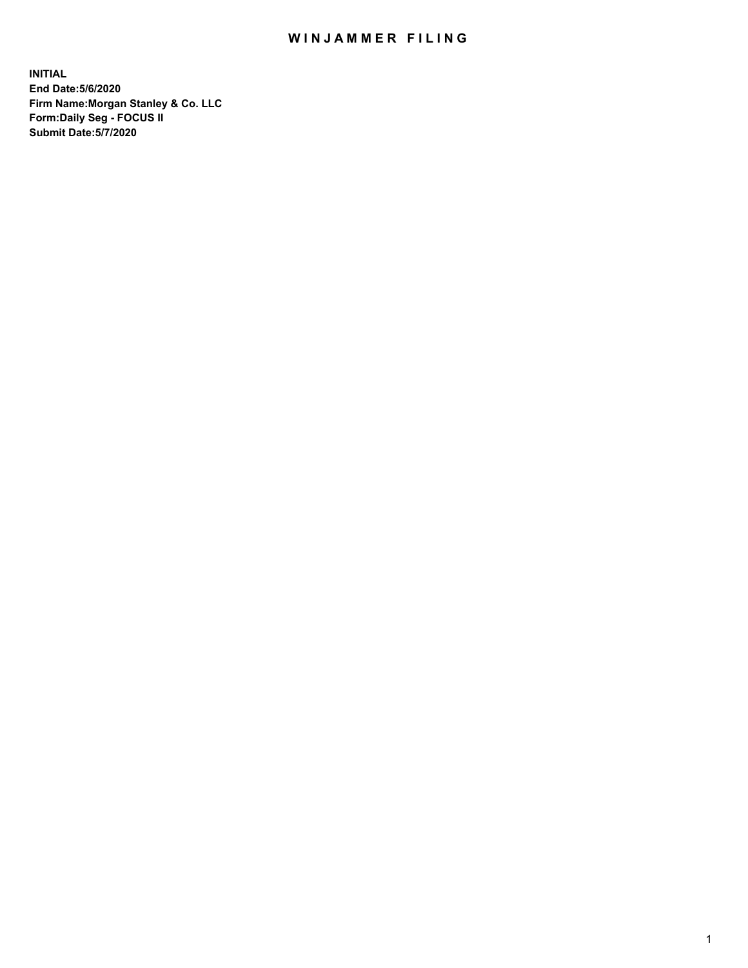## WIN JAMMER FILING

**INITIAL End Date:5/6/2020 Firm Name:Morgan Stanley & Co. LLC Form:Daily Seg - FOCUS II Submit Date:5/7/2020**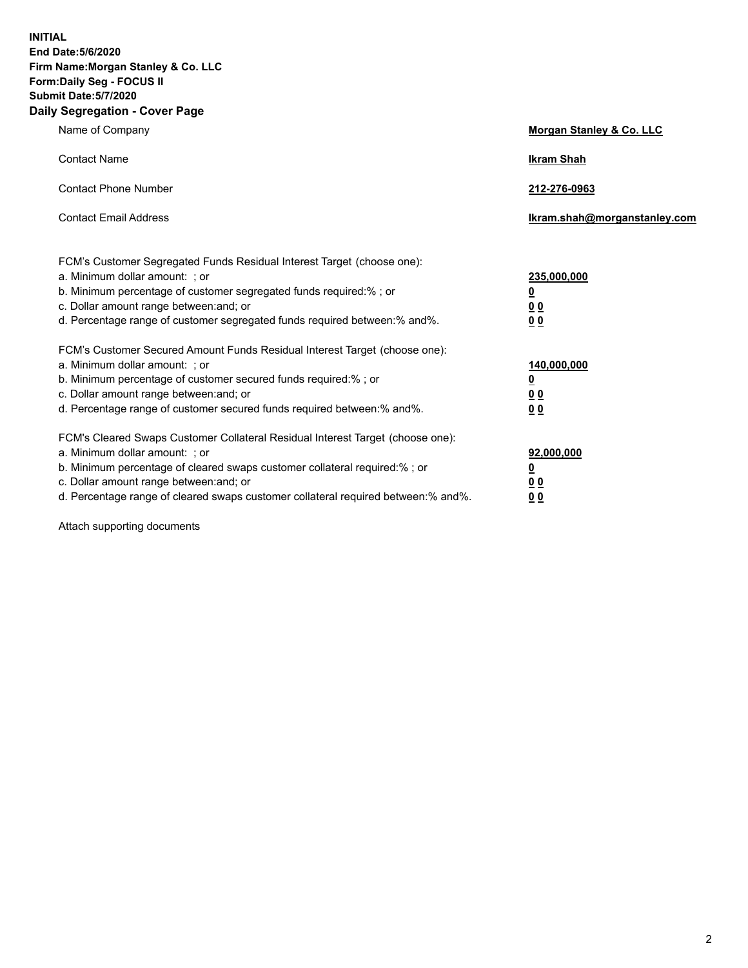**INITIAL End Date:5/6/2020 Firm Name:Morgan Stanley & Co. LLC Form:Daily Seg - FOCUS II Submit Date:5/7/2020 Daily Segregation - Cover Page**

| Name of Company                                                                                                                                                                                                                                                                                                                | Morgan Stanley & Co. LLC                               |
|--------------------------------------------------------------------------------------------------------------------------------------------------------------------------------------------------------------------------------------------------------------------------------------------------------------------------------|--------------------------------------------------------|
| <b>Contact Name</b>                                                                                                                                                                                                                                                                                                            | <b>Ikram Shah</b>                                      |
| <b>Contact Phone Number</b>                                                                                                                                                                                                                                                                                                    | 212-276-0963                                           |
| <b>Contact Email Address</b>                                                                                                                                                                                                                                                                                                   | Ikram.shah@morganstanley.com                           |
| FCM's Customer Segregated Funds Residual Interest Target (choose one):<br>a. Minimum dollar amount: ; or<br>b. Minimum percentage of customer segregated funds required:% ; or<br>c. Dollar amount range between: and; or<br>d. Percentage range of customer segregated funds required between:% and%.                         | 235,000,000<br><u>0</u><br><u>00</u><br>0 Q            |
| FCM's Customer Secured Amount Funds Residual Interest Target (choose one):<br>a. Minimum dollar amount: ; or<br>b. Minimum percentage of customer secured funds required:%; or<br>c. Dollar amount range between: and; or<br>d. Percentage range of customer secured funds required between:% and%.                            | 140,000,000<br><u>0</u><br><u>00</u><br>0 <sup>0</sup> |
| FCM's Cleared Swaps Customer Collateral Residual Interest Target (choose one):<br>a. Minimum dollar amount: ; or<br>b. Minimum percentage of cleared swaps customer collateral required:% ; or<br>c. Dollar amount range between: and; or<br>d. Percentage range of cleared swaps customer collateral required between:% and%. | 92,000,000<br><u>0</u><br>00<br>00                     |

Attach supporting documents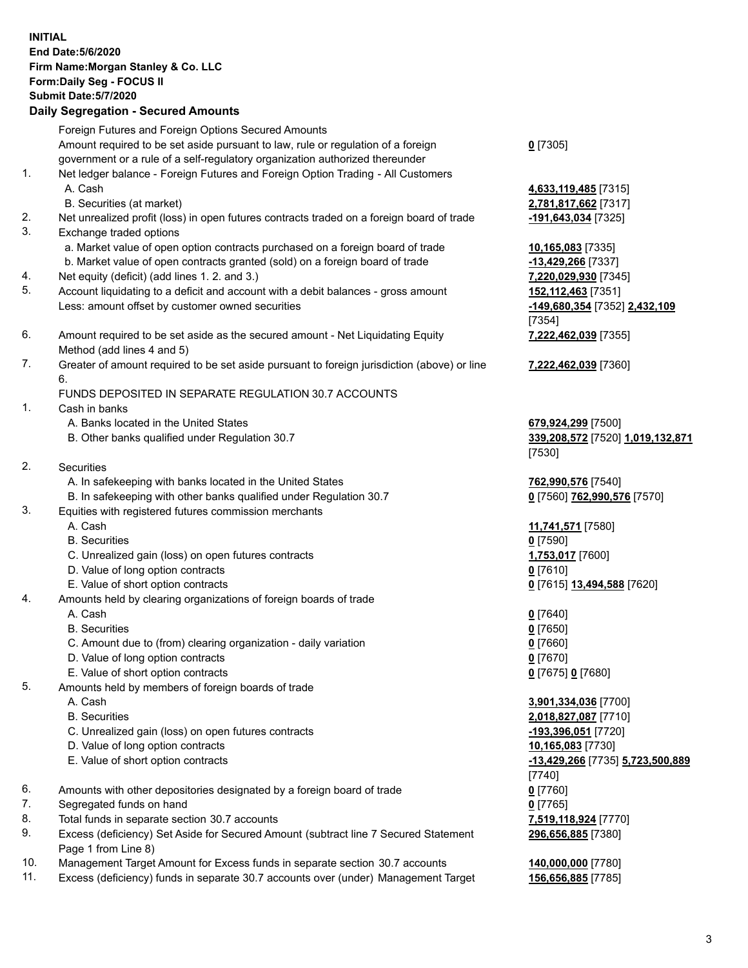|     | <b>INITIAL</b>                                                                                                                                                 |                                                   |
|-----|----------------------------------------------------------------------------------------------------------------------------------------------------------------|---------------------------------------------------|
|     | End Date: 5/6/2020                                                                                                                                             |                                                   |
|     | Firm Name: Morgan Stanley & Co. LLC                                                                                                                            |                                                   |
|     | Form: Daily Seg - FOCUS II                                                                                                                                     |                                                   |
|     | <b>Submit Date: 5/7/2020</b>                                                                                                                                   |                                                   |
|     | <b>Daily Segregation - Secured Amounts</b>                                                                                                                     |                                                   |
|     | Foreign Futures and Foreign Options Secured Amounts                                                                                                            |                                                   |
|     | Amount required to be set aside pursuant to law, rule or regulation of a foreign                                                                               | $0$ [7305]                                        |
|     | government or a rule of a self-regulatory organization authorized thereunder                                                                                   |                                                   |
| 1.  | Net ledger balance - Foreign Futures and Foreign Option Trading - All Customers                                                                                |                                                   |
|     | A. Cash                                                                                                                                                        | 4,633,119,485 [7315]                              |
|     | B. Securities (at market)                                                                                                                                      | 2,781,817,662 [7317]                              |
| 2.  | Net unrealized profit (loss) in open futures contracts traded on a foreign board of trade                                                                      | -191,643,034 [7325]                               |
| 3.  | Exchange traded options                                                                                                                                        |                                                   |
|     | a. Market value of open option contracts purchased on a foreign board of trade<br>b. Market value of open contracts granted (sold) on a foreign board of trade | 10,165,083 [7335]                                 |
| 4.  | Net equity (deficit) (add lines 1. 2. and 3.)                                                                                                                  | -13,429,266 [7337]<br>7,220,029,930 [7345]        |
| 5.  | Account liquidating to a deficit and account with a debit balances - gross amount                                                                              | 152,112,463 [7351]                                |
|     | Less: amount offset by customer owned securities                                                                                                               | -149,680,354 [7352] 2,432,109                     |
|     |                                                                                                                                                                | [7354]                                            |
| 6.  | Amount required to be set aside as the secured amount - Net Liquidating Equity                                                                                 | 7,222,462,039 [7355]                              |
|     | Method (add lines 4 and 5)                                                                                                                                     |                                                   |
| 7.  | Greater of amount required to be set aside pursuant to foreign jurisdiction (above) or line                                                                    | 7,222,462,039 [7360]                              |
|     | 6.                                                                                                                                                             |                                                   |
|     | FUNDS DEPOSITED IN SEPARATE REGULATION 30.7 ACCOUNTS                                                                                                           |                                                   |
| 1.  | Cash in banks                                                                                                                                                  |                                                   |
|     | A. Banks located in the United States                                                                                                                          | 679,924,299 [7500]                                |
|     | B. Other banks qualified under Regulation 30.7                                                                                                                 | 339,208,572 [7520] 1,019,132,871                  |
| 2.  |                                                                                                                                                                | [7530]                                            |
|     | <b>Securities</b><br>A. In safekeeping with banks located in the United States                                                                                 |                                                   |
|     | B. In safekeeping with other banks qualified under Regulation 30.7                                                                                             | 762,990,576 [7540]<br>0 [7560] 762,990,576 [7570] |
| 3.  | Equities with registered futures commission merchants                                                                                                          |                                                   |
|     | A. Cash                                                                                                                                                        | 11,741,571 [7580]                                 |
|     | <b>B.</b> Securities                                                                                                                                           | $0$ [7590]                                        |
|     | C. Unrealized gain (loss) on open futures contracts                                                                                                            | 1,753,017 [7600]                                  |
|     | D. Value of long option contracts                                                                                                                              | $0$ [7610]                                        |
|     | E. Value of short option contracts                                                                                                                             | 0 [7615] 13,494,588 [7620]                        |
| 4.  | Amounts held by clearing organizations of foreign boards of trade                                                                                              |                                                   |
|     | A. Cash                                                                                                                                                        | $0$ [7640]                                        |
|     | <b>B.</b> Securities                                                                                                                                           | $0$ [7650]                                        |
|     | C. Amount due to (from) clearing organization - daily variation                                                                                                | $0$ [7660]                                        |
|     | D. Value of long option contracts                                                                                                                              | $0$ [7670]                                        |
| 5.  | E. Value of short option contracts<br>Amounts held by members of foreign boards of trade                                                                       | 0 [7675] 0 [7680]                                 |
|     | A. Cash                                                                                                                                                        | 3,901,334,036 [7700]                              |
|     | <b>B.</b> Securities                                                                                                                                           | 2,018,827,087 [7710]                              |
|     | C. Unrealized gain (loss) on open futures contracts                                                                                                            | -193,396,051 [7720]                               |
|     | D. Value of long option contracts                                                                                                                              | 10,165,083 [7730]                                 |
|     | E. Value of short option contracts                                                                                                                             | -13,429,266 [7735] 5,723,500,889                  |
|     |                                                                                                                                                                | [7740]                                            |
| 6.  | Amounts with other depositories designated by a foreign board of trade                                                                                         | $0$ [7760]                                        |
| 7.  | Segregated funds on hand                                                                                                                                       | $0$ [7765]                                        |
| 8.  | Total funds in separate section 30.7 accounts                                                                                                                  | 7,519,118,924 [7770]                              |
| 9.  | Excess (deficiency) Set Aside for Secured Amount (subtract line 7 Secured Statement                                                                            | 296,656,885 [7380]                                |
|     | Page 1 from Line 8)                                                                                                                                            |                                                   |
| 10. | Management Target Amount for Excess funds in separate section 30.7 accounts                                                                                    | 140,000,000 [7780]                                |
| 11. | Excess (deficiency) funds in separate 30.7 accounts over (under) Management Target                                                                             | 156,656,885 [7785]                                |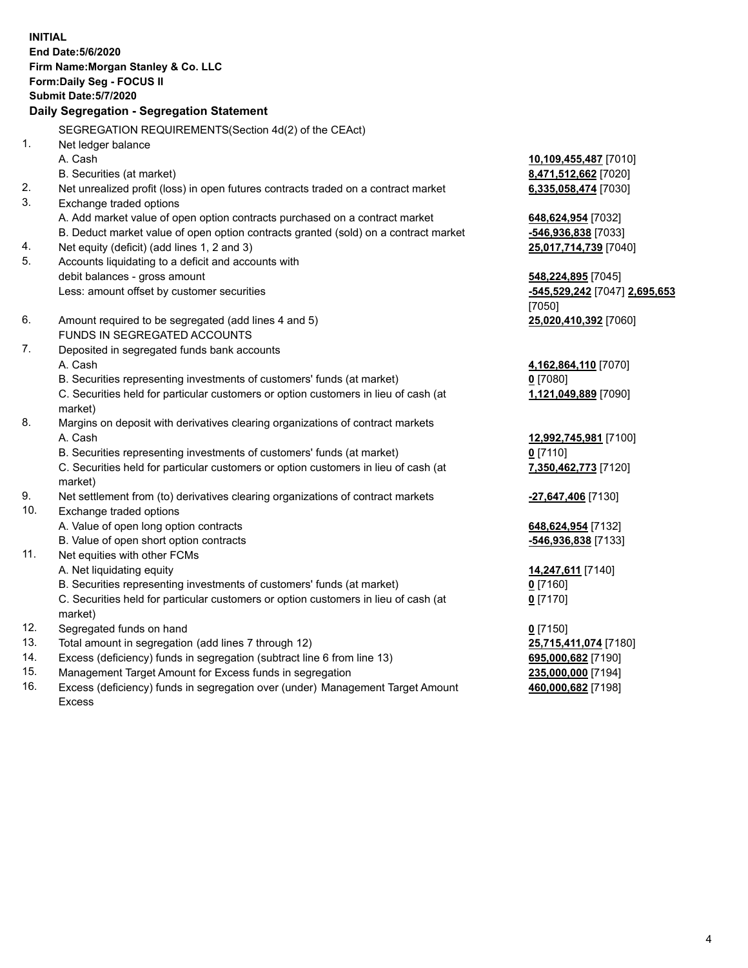|     | <b>INITIAL</b><br>End Date: 5/6/2020<br>Firm Name: Morgan Stanley & Co. LLC<br>Form: Daily Seg - FOCUS II<br><b>Submit Date: 5/7/2020</b><br>Daily Segregation - Segregation Statement |                               |
|-----|----------------------------------------------------------------------------------------------------------------------------------------------------------------------------------------|-------------------------------|
|     | SEGREGATION REQUIREMENTS(Section 4d(2) of the CEAct)                                                                                                                                   |                               |
| 1.  | Net ledger balance                                                                                                                                                                     |                               |
|     | A. Cash                                                                                                                                                                                | 10,109,455,487 [7010]         |
|     | B. Securities (at market)                                                                                                                                                              | 8,471,512,662 [7020]          |
| 2.  | Net unrealized profit (loss) in open futures contracts traded on a contract market                                                                                                     | 6,335,058,474 [7030]          |
| 3.  | Exchange traded options                                                                                                                                                                |                               |
|     | A. Add market value of open option contracts purchased on a contract market                                                                                                            | 648,624,954 [7032]            |
|     | B. Deduct market value of open option contracts granted (sold) on a contract market                                                                                                    | -546,936,838 [7033]           |
| 4.  | Net equity (deficit) (add lines 1, 2 and 3)                                                                                                                                            | 25,017,714,739 [7040]         |
| 5.  | Accounts liquidating to a deficit and accounts with                                                                                                                                    |                               |
|     | debit balances - gross amount                                                                                                                                                          | 548,224,895 [7045]            |
|     | Less: amount offset by customer securities                                                                                                                                             | -545,529,242 [7047] 2,695,653 |
|     |                                                                                                                                                                                        | [7050]                        |
| 6.  | Amount required to be segregated (add lines 4 and 5)                                                                                                                                   | 25,020,410,392 [7060]         |
|     | <b>FUNDS IN SEGREGATED ACCOUNTS</b>                                                                                                                                                    |                               |
| 7.  | Deposited in segregated funds bank accounts                                                                                                                                            |                               |
|     | A. Cash                                                                                                                                                                                | 4,162,864,110 [7070]          |
|     | B. Securities representing investments of customers' funds (at market)                                                                                                                 | $0$ [7080]                    |
|     | C. Securities held for particular customers or option customers in lieu of cash (at                                                                                                    | 1,121,049,889 [7090]          |
| 8.  | market)<br>Margins on deposit with derivatives clearing organizations of contract markets                                                                                              |                               |
|     | A. Cash                                                                                                                                                                                | 12,992,745,981 [7100]         |
|     | B. Securities representing investments of customers' funds (at market)                                                                                                                 | $0$ [7110]                    |
|     | C. Securities held for particular customers or option customers in lieu of cash (at                                                                                                    | 7,350,462,773 [7120]          |
|     | market)                                                                                                                                                                                |                               |
| 9.  | Net settlement from (to) derivatives clearing organizations of contract markets                                                                                                        | -27,647,406 [7130]            |
| 10. | Exchange traded options                                                                                                                                                                |                               |
|     | A. Value of open long option contracts                                                                                                                                                 | 648,624,954 [7132]            |
|     | B. Value of open short option contracts                                                                                                                                                | -546,936,838 [7133]           |
| 11. | Net equities with other FCMs                                                                                                                                                           |                               |
|     | A. Net liquidating equity                                                                                                                                                              | 14,247,611 [7140]             |
|     | B. Securities representing investments of customers' funds (at market)                                                                                                                 | <u>0</u> [7160]               |
|     | C. Securities held for particular customers or option customers in lieu of cash (at                                                                                                    | $0$ [7170]                    |
|     | market)                                                                                                                                                                                |                               |
| 12. | Segregated funds on hand                                                                                                                                                               | $0$ [7150]                    |
| 13. | Total amount in segregation (add lines 7 through 12)                                                                                                                                   | 25,715,411,074 [7180]         |
| 14. | Excess (deficiency) funds in segregation (subtract line 6 from line 13)                                                                                                                | 695,000,682 [7190]            |
| 15. | Management Target Amount for Excess funds in segregation                                                                                                                               | 235,000,000 [7194]            |

16. Excess (deficiency) funds in segregation over (under) Management Target Amount Excess

**460,000,682** [7198]